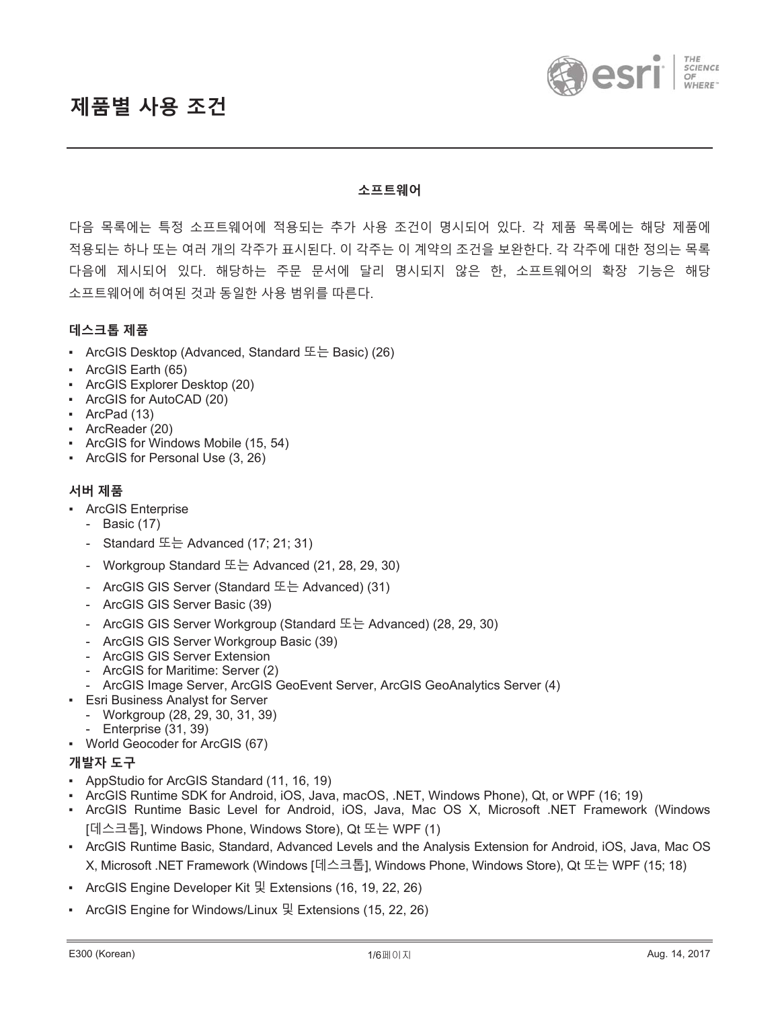



#### 소프트웨**어**

다음 목록에는 특정 소프트웨어에 적용되는 추가 사용 조건이 명시되어 있다. 각 제품 목록에는 해당 제품에 적용되는 하나 또는 여러 개의 각주가 표시된다. 이 각주는 이 계약의 조건을 보완한다. 각 각주에 대한 정의는 목록 다음에 제시되어 있다. 해당하는 주문 문서에 달리 명시되지 않은 한, 소프트웨어의 확장 기능은 해당 소프트웨어에 허여된 것과 동일한 사용 범위를 따른다.

## $H \triangleq \exists$  톱 제품

- ArcGIS Desktop (Advanced, Standard 또는 Basic) (26)
- ArcGIS Earth (65)
- ƒ ArcGIS Explorer Desktop (20)
- ArcGIS for AutoCAD (20)
- ArcPad (13)
- ArcReader (20)
- ArcGIS for Windows Mobile (15, 54)
- ArcGIS for Personal Use (3, 26)

### $\mathcal{M}$  버 제품

- ArcGIS Enterprise
	- Basic (17)
	- Standard  $E =$  Advanced (17; 21; 31)
	- Workgroup Standard  $E =$  Advanced (21, 28, 29, 30)
	- ArcGIS GIS Server (Standard ӖЕ Advanced) (31)
	- ArcGIS GIS Server Basic (39)
	- ArcGIS GIS Server Workgroup (Standard 또는 Advanced) (28, 29, 30)
	- ArcGIS GIS Server Workgroup Basic (39)
	- ArcGIS GIS Server Extension
	- ArcGIS for Maritime: Server (2)
	- ArcGIS Image Server, ArcGIS GeoEvent Server, ArcGIS GeoAnalytics Server (4)
- **Esri Business Analyst for Server** 
	- Workgroup (28, 29, 30, 31, 39)
	- Enterprise (31, 39)
- ƒ World Geocoder for ArcGIS (67)

#### $\overline{u}$  개발자 도구

- AppStudio for ArcGIS Standard (11, 16, 19)
- ƒ ArcGIS Runtime SDK for Android, iOS, Java, macOS, .NET, Windows Phone), Qt, or WPF (16; 19)
- ArcGIS Runtime Basic Level for Android, iOS, Java, Mac OS X, Microsoft .NET Framework (Windows [데스크톱], Windows Phone, Windows Store), Qt 또는 WPF (1)
- ƒ ArcGIS Runtime Basic, Standard, Advanced Levels and the Analysis Extension for Android, iOS, Java, Mac OS X, Microsoft .NET Framework (Windows [데스크톱], Windows Phone, Windows Store), Qt 또는 WPF (15; 18)
- ArcGIS Engine Developer Kit 및 Extensions (16, 19, 22, 26)
- ArcGIS Engine for Windows/Linux 및 Extensions (15, 22, 26)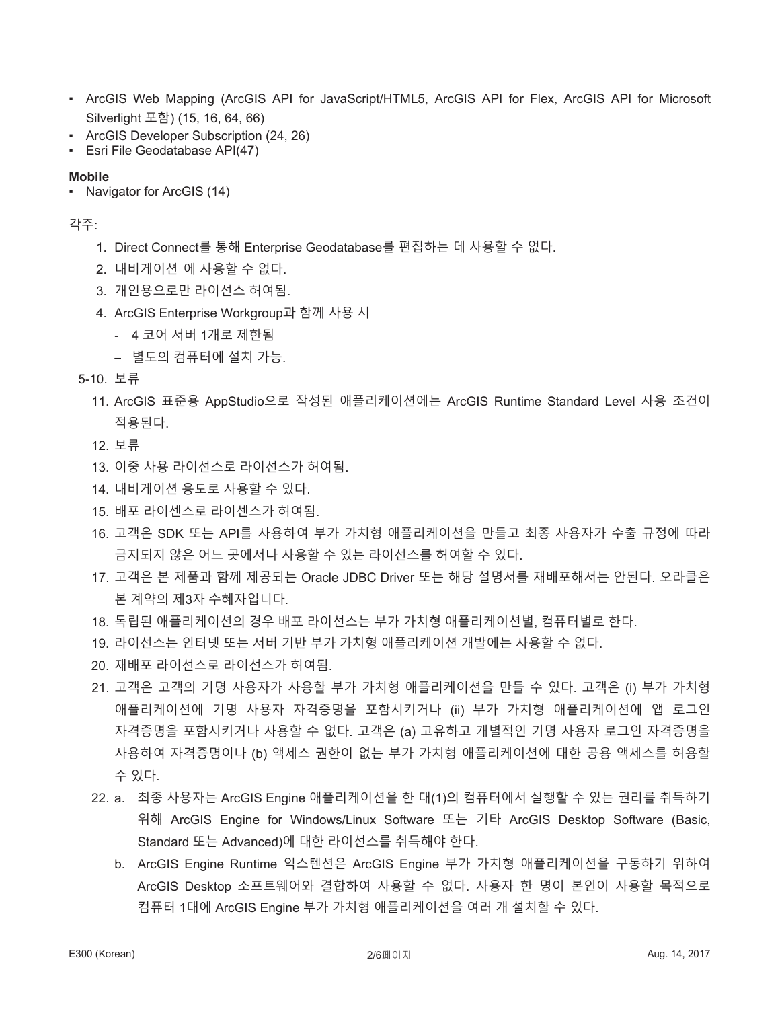- ArcGIS Web Mapping (ArcGIS API for JavaScript/HTML5, ArcGIS API for Flex, ArcGIS API for Microsoft Silverlight ૦ଡ) (15, 16, 64, 66)
- ƒ ArcGIS Developer Subscription (24, 26)
- **Esri File Geodatabase API(47)**

## **Mobile**

• Navigator for ArcGIS (14)

# 각주:

- 1. Direct Connect를 통해 Enterprise Geodatabase를 편집하는 데 사용할 수 없다.
- 2. 내비게이션 에 사용할 수 없다.
- 3. 개인용으로만 라이선스 허여됨.
- 4. ArcGIS Enterprise Workgroup과 함께 사용 시
	- 4 코어 서버 1개로 제한됨
	- 별도의 컴퓨터에 설치 가능.
- 5-10. 보류
	- 11. ArcGIS 표준용 AppStudio으로 작성된 애플리케이션에는 ArcGIS Runtime Standard Level 사용 조건이 적용된다.
	- 12. 보류
	- 13. 이중 사용 라이선스로 라이선스가 허여됨.
	- 14. 내비게이션 용도로 사용할 수 있다.
	- 15. 배포 라이센스로 라이센스가 허여됨.
	- 16. 고객은 SDK 또는 API를 사용하여 부가 가치형 애플리케이션을 만들고 최종 사용자가 수출 규정에 따라 금지되지 않은 어느 곳에서나 사용할 수 있는 라이선스를 허여할 수 있다.
	- 17. 고객은 본 제품과 함께 제공되는 Oracle JDBC Driver 또는 해당 설명서를 재배포해서는 안된다. 오라클은 본 계약의 제3자 수혜자입니다.
	- 18. 독립된 애플리케이션의 경우 배포 라이선스는 부가 가치형 애플리케이션별, 컴퓨터별로 한다.
	- 19. 라이선스는 인터넷 또는 서버 기반 부가 가치형 애플리케이션 개발에는 사용할 수 없다.
	- 20. 재배포 라이선스로 라이선스가 허여됨.
	- 21. 고객은 고객의 기명 사용자가 사용할 부가 가치형 애플리케이션을 만들 수 있다. 고객은 (i) 부가 가치형 애플리케이션에 기명 사용자 자격증명을 포함시키거나 (ii) 부가 가치형 애플리케이션에 앱 로그인 자격증명을 포함시키거나 사용할 수 없다. 고객은 (a) 고유하고 개별적인 기명 사용자 로그인 자격증명을 사용하여 자격증명이나 (b) 액세스 권한이 없는 부가 가치형 애플리케이션에 대한 공용 액세스를 허용할 수 있다.
	- 22. a. 최종 사용자는 ArcGIS Engine 애플리케이션을 한 대(1)의 컴퓨터에서 실행할 수 있는 권리를 취득하기 ࡢଥ ArcGIS Engine for Windows/Linux Software ӖЕ ̛ ArcGIS Desktop Software (Basic, Standard 또는 Advanced)에 대한 라이선스를 취득해야 한다.
		- b. ArcGIS Engine Runtime 익스텐션은 ArcGIS Engine 부가 가치형 애플리케이션을 구동하기 위하여 ArcGIS Desktop 소프트웨어와 결합하여 사용할 수 없다. 사용자 한 명이 본인이 사용할 목적으로 컴퓨터 1대에 ArcGIS Engine 부가 가치형 애플리케이션을 여러 개 설치할 수 있다.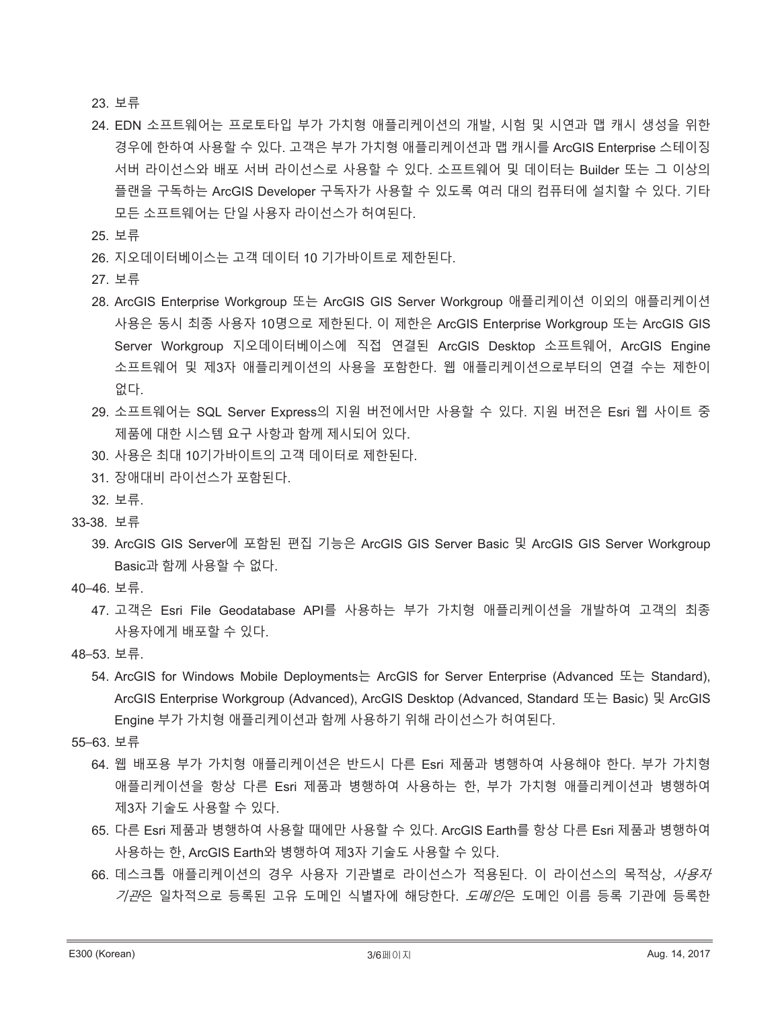23. 보류

- 24. EDN 소프트웨어는 프로토타입 부가 가치형 애플리케이션의 개발, 시험 및 시연과 맵 캐시 생성을 위한 경우에 한하여 사용할 수 있다. 고객은 부가 가치형 애플리케이션과 맵 캐시를 ArcGIS Enterprise 스테이징 서버 라이선스와 배포 서버 라이선스로 사용할 수 있다. 소프트웨어 및 데이터는 Builder 또는 그 이상의 플랜을 구독하는 ArcGIS Developer 구독자가 사용할 수 있도록 여러 대의 컴퓨터에 설치할 수 있다. 기타 모든 소프트웨어는 단일 사용자 라이선스가 허여된다.
- 25. 보류
- 26. 지오데이터베이스는 고객 데이터 10 기가바이트로 제한된다.
- 27. 보류
- 28. ArcGIS Enterprise Workgroup 또는 ArcGIS GIS Server Workgroup 애플리케이션 이외의 애플리케이션 사용은 동시 최종 사용자 10명으로 제한된다. 이 제한은 ArcGIS Enterprise Workgroup 또는 ArcGIS GIS Server Workgroup 지오데이터베이스에 직접 연결된 ArcGIS Desktop 소프트웨어, ArcGIS Engine 소프트웨어 및 제3자 애플리케이션의 사용을 포함한다. 웹 애플리케이션으로부터의 연결 수는 제한이 없다.
- 29. 소프트웨어는 SQL Server Express의 지원 버전에서만 사용할 수 있다. 지원 버전은 Esri 웹 사이트 중 제품에 대한 시스템 요구 사항과 함께 제시되어 있다.
- 30. 사용은 최대 10기가바이트의 고객 데이터로 제한된다.
- 31. 장애대비 라이선스가 포함된다.
- 32. 보류.
- 33-38 보류
	- 39. ArcGIS GIS Server에 포함된 편집 기능은 ArcGIS GIS Server Basic 및 ArcGIS GIS Server Workgroup  $B$ asic과 함께 사용할 수 없다.
- 40-46. 보류.
	- 47. 고객은 Esri File Geodatabase API를 사용하는 부가 가치형 애플리케이션을 개발하여 고객의 최종 사용자에게 배포할 수 있다.
- 48-53. 보류.
	- 54. ArcGIS for Windows Mobile Deployments는 ArcGIS for Server Enterprise (Advanced 또는 Standard), ArcGIS Enterprise Workgroup (Advanced), ArcGIS Desktop (Advanced, Standard 또는 Basic) 및 ArcGIS Engine 부가 가치형 애플리케이션과 함께 사용하기 위해 라이선스가 허여된다.
- 55-63. 보류
	- 64. 웹 배포용 부가 가치형 애플리케이션은 반드시 다른 Esri 제품과 병행하여 사용해야 한다. 부가 가치형 애플리케이션을 항상 다른 Esri 제품과 병행하여 사용하는 한, 부가 가치형 애플리케이션과 병행하여 제3자 기술도 사용할 수 있다.
	- 65. 다른 Esri 제품과 병행하여 사용할 때에만 사용할 수 있다. ArcGIS Earth를 항상 다른 Esri 제품과 병행하여 사용하는 한, ArcGIS Earth와 병행하여 제3자 기술도 사용할 수 있다.
	- 66. 데스크톱 애플리케이션의 경우 사용자 기관별로 라이선스가 적용된다. 이 라이선스의 목적상, *사용자* 기관은 일차적으로 등록된 고유 도메인 식별자에 해당한다. *도메인*은 도메인 이름 등록 기관에 등록한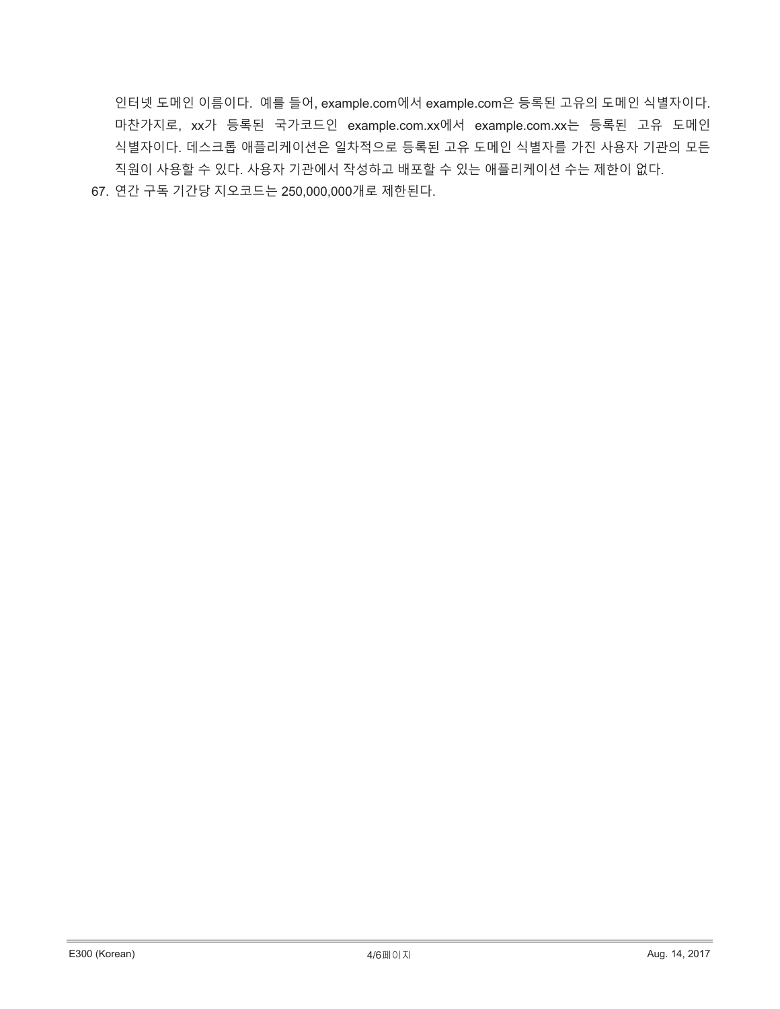인터넷 도메인 이름이다. 예를 들어, example.com에서 example.com은 등록된 고유의 도메인 식별자이다. 마찬가지로, xx가 등록된 국가코드인 example.com.xx에서 example.com.xx는 등록된 고유 도메인 식별자이다. 데스크톱 애플리케이션은 일차적으로 등록된 고유 도메인 식별자를 가진 사용자 기관의 모든 직원이 사용할 수 있다. 사용자 기관에서 작성하고 배포할 수 있는 애플리케이션 수는 제한이 없다.

67. 연간 구독 기간당 지오코드는 250,000,000개로 제한된다.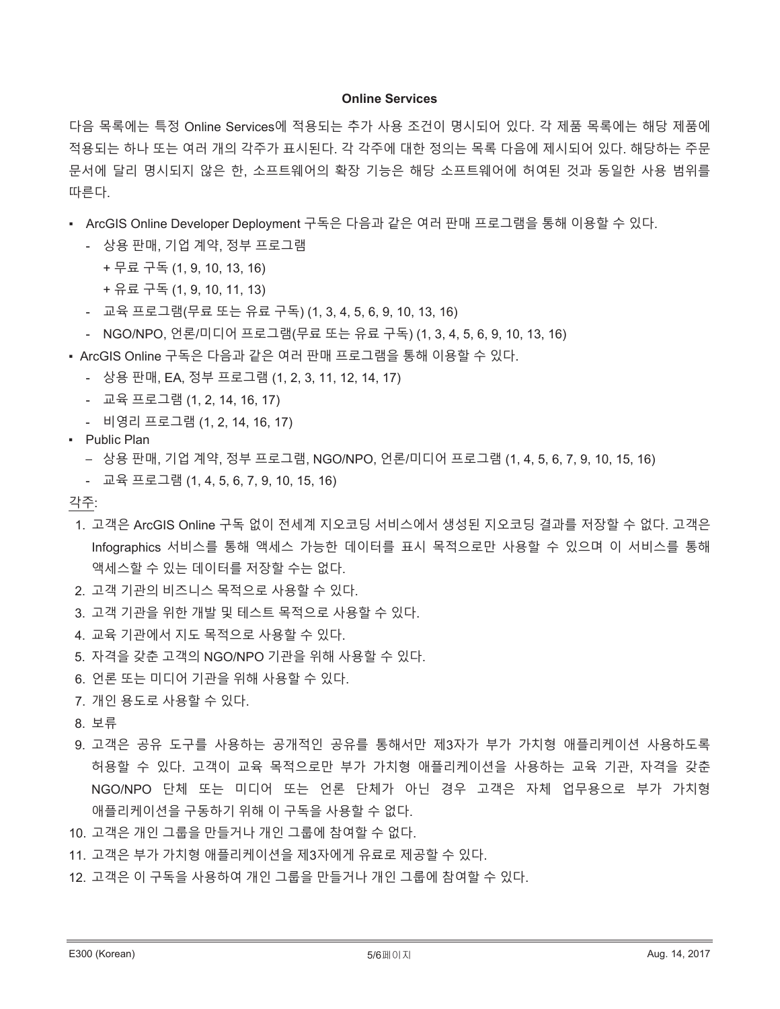#### **Online Services**

다음 목록에는 특정 Online Services에 적용되는 추가 사용 조건이 명시되어 있다. 각 제품 목록에는 해당 제품에 적용되는 하나 또는 여러 개의 각주가 표시된다. 각 각주에 대한 정의는 목록 다음에 제시되어 있다. 해당하는 주문 문서에 달리 명시되지 않은 한, 소프트웨어의 확장 기능은 해당 소프트웨어에 허여된 것과 동일한 사용 범위를 따른다.

- ArcGIS Online Developer Deployment 구독은 다음과 같은 여러 판매 프로그램을 통해 이용할 수 있다.
	- 상용 판매, 기업 계약, 정부 프로그램
		- + 무료 구독 (1, 9, 10, 13, 16)
		- + 유료 구독 (1, 9, 10, 11, 13)
	- 교육 프로그램(무료 또는 유료 구독) (1, 3, 4, 5, 6, 9, 10, 13, 16)
	- NGO/NPO, 언론/미디어 프로그램(무료 또는 유료 구독) (1, 3, 4, 5, 6, 9, 10, 13, 16)
- ArcGIS Online 구독은 다음과 같은 여러 판매 프로그램을 통해 이용할 수 있다.
	- 상용 판매, EA, 정부 프로그램 (1, 2, 3, 11, 12, 14, 17)
	- 교육 프로그램 (1, 2, 14, 16, 17)
	- 비영리 프로그램 (1, 2, 14, 16, 17)
- Public Plan
	- 상용 판매, 기업 계약, 정부 프로그램, NGO/NPO, 언론/미디어 프로그램 (1, 4, 5, 6, 7, 9, 10, 15, 16)
	- 교육 프로그램 (1, 4, 5, 6, 7, 9, 10, 15, 16)

각주:

- 1. 고객은 ArcGIS Online 구독 없이 전세계 지오코딩 서비스에서 생성된 지오코딩 결과를 저장할 수 없다. 고객은 Infographics 서비스를 통해 액세스 가능한 데이터를 표시 목적으로만 사용할 수 있으며 이 서비스를 통해 액세스할 수 있는 데이터를 저장할 수는 없다.
- 2. 고객 기관의 비즈니스 목적으로 사용할 수 있다.
- 3. 고객 기관을 위한 개발 및 테스트 목적으로 사용할 수 있다.
- 4. 교육 기관에서 지도 목적으로 사용할 수 있다.
- 5. 자격을 갖춘 고객의 NGO/NPO 기관을 위해 사용할 수 있다.
- 6. 언론 또는 미디어 기관을 위해 사용할 수 있다.
- 7. 개인 용도로 사용할 수 있다.
- 8. 보류
- 9. 고객은 공유 도구를 사용하는 공개적인 공유를 통해서만 제3자가 부가 가치형 애플리케이션 사용하도록 허용할 수 있다. 고객이 교육 목적으로만 부가 가치형 애플리케이션을 사용하는 교육 기관, 자격을 갖춘 NGO/NPO 단체 또는 미디어 또는 언론 단체가 아닌 경우 고객은 자체 업무용으로 부가 가치형 애플리케이션을 구동하기 위해 이 구독을 사용할 수 없다.
- 10. 고객은 개인 그룹을 만들거나 개인 그룹에 참여할 수 없다.
- 11. 고객은 부가 가치형 애플리케이션을 제3자에게 유료로 제공할 수 있다.
- 12. 고객은 이 구독을 사용하여 개인 그룹을 만들거나 개인 그룹에 참여할 수 있다.